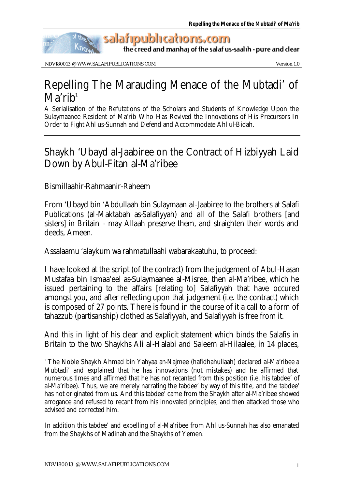

the creed and manhaj of the salaf us-saalih - pure and clear

NDV180013 @ WWW.SALAFIPUBLICATIONS.COM Version 1.0

## Repelling The Marauding Menace of the Mubtadi' of  $\mathbf{M}$ a'ri $\mathbf{h}^1$

A Serialisation of the Refutations of the Scholars and Students of Knowledge Upon the Sulaymaanee Resident of Ma'rib Who Has Revived the Innovations of His Precursors In Order to Fight Ahl us-Sunnah and Defend and Accommodate Ahl ul-Bidah.

## Shaykh 'Ubayd al-Jaabiree on the Contract of Hizbiyyah Laid Down by Abul-Fitan al-Ma'ribee

Bismillaahir-Rahmaanir-Raheem

From 'Ubayd bin 'Abdullaah bin Sulaymaan al-Jaabiree to the brothers at Salafi Publications (al-Maktabah as-Salafiyyah) and all of the Salafi brothers [and sisters] in Britain - may Allaah preserve them, and straighten their words and deeds, Ameen.

Assalaamu 'alaykum wa rahmatullaahi wabarakaatuhu, to proceed:

I have looked at the script (of the contract) from the judgement of Abul-Hasan Mustafaa bin Ismaa'eel as-Sulaymaanee al-Misree, then al-Ma'ribee, which he issued pertaining to the affairs [relating to] Salafiyyah that have occured amongst you, and after reflecting upon that judgement (i.e. the contract) which is composed of 27 points. There is found in the course of it a call to a form of tahazzub (partisanship) clothed as Salafiyyah, and Salafiyyah is free from it.

And this in light of his clear and explicit statement which binds the Salafis in Britain to the two Shaykhs Ali al-Halabi and Saleem al-Hilaalee, in 14 places,

l 1 The Noble Shaykh Ahmad bin Yahyaa an-Najmee (hafidhahullaah) declared al-Ma'ribee a Mubtadi' and explained that he has innovations (not mistakes) and he affirmed that numerous times and affirmed that he has not recanted from this position (i.e. his tabdee' of al-Ma'ribee). Thus, we are merely narrating the tabdee' by way of this title, and the tabdee' has not originated from us. And this tabdee' came from the Shaykh after al-Ma'ribee showed arrogance and refused to recant from his innovated principles, and then attacked those who advised and corrected him.

In addition this tabdee' and expelling of al-Ma'ribee from Ahl us-Sunnah has also emanated from the Shaykhs of Madinah and the Shaykhs of Yemen.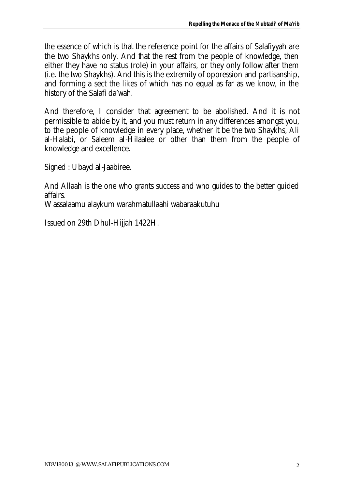the essence of which is that the reference point for the affairs of Salafiyyah are the two Shaykhs only. And that the rest from the people of knowledge, then either they have no status (role) in your affairs, or they only follow after them (i.e. the two Shaykhs). And this is the extremity of oppression and partisanship, and forming a sect the likes of which has no equal as far as we know, in the history of the Salafi da'wah.

And therefore, I consider that agreement to be abolished. And it is not permissible to abide by it, and you must return in any differences amongst you, to the people of knowledge in every place, whether it be the two Shaykhs, Ali al-Halabi, or Saleem al-Hilaalee or other than them from the people of knowledge and excellence.

Signed : Ubayd al-Jaabiree.

And Allaah is the one who grants success and who guides to the better guided affairs.

Wassalaamu alaykum warahmatullaahi wabaraakutuhu

Issued on 29th Dhul-Hijjah 1422H.